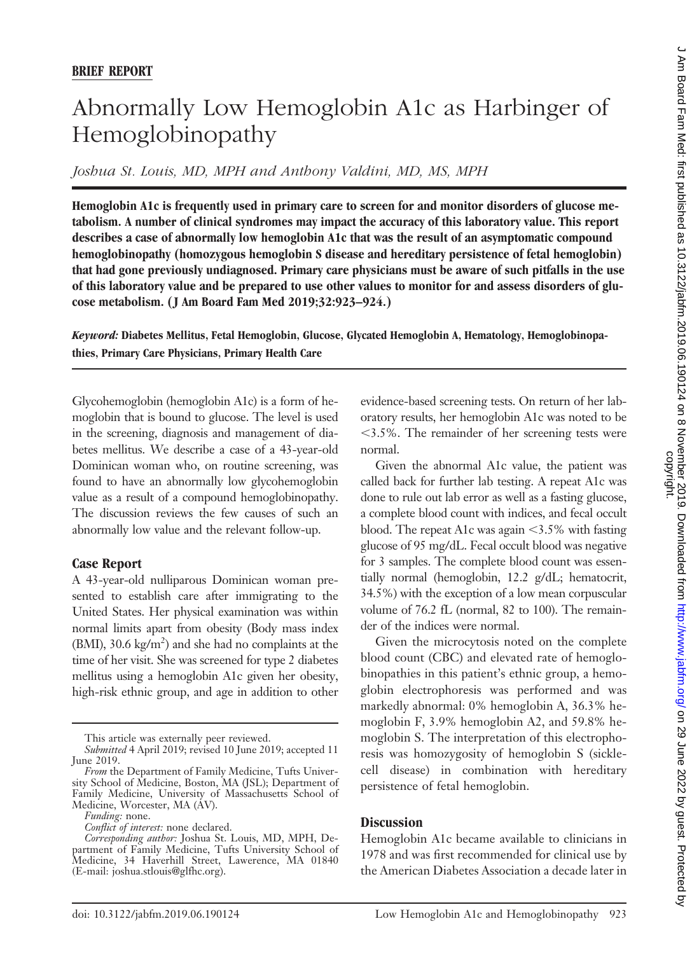## Abnormally Low Hemoglobin A1c as Harbinger of Hemoglobinopathy

*Joshua St. Louis, MD, MPH and Anthony Valdini, MD, MS, MPH*

**Hemoglobin A1c is frequently used in primary care to screen for and monitor disorders of glucose metabolism. A number of clinical syndromes may impact the accuracy of this laboratory value. This report describes a case of abnormally low hemoglobin A1c that was the result of an asymptomatic compound hemoglobinopathy (homozygous hemoglobin S disease and hereditary persistence of fetal hemoglobin) that had gone previously undiagnosed. Primary care physicians must be aware of such pitfalls in the use of this laboratory value and be prepared to use other values to monitor for and assess disorders of glucose metabolism. ( J Am Board Fam Med 2019;32:923–924.)**

*Keyword:* **Diabetes Mellitus, Fetal Hemoglobin, Glucose, Glycated Hemoglobin A, Hematology, Hemoglobinopathies, Primary Care Physicians, Primary Health Care**

Glycohemoglobin (hemoglobin A1c) is a form of hemoglobin that is bound to glucose. The level is used in the screening, diagnosis and management of diabetes mellitus. We describe a case of a 43-year-old Dominican woman who, on routine screening, was found to have an abnormally low glycohemoglobin value as a result of a compound hemoglobinopathy. The discussion reviews the few causes of such an abnormally low value and the relevant follow-up.

## **Case Report**

A 43-year-old nulliparous Dominican woman presented to establish care after immigrating to the United States. Her physical examination was within normal limits apart from obesity (Body mass index (BMI), 30.6 kg/ $m<sup>2</sup>$ ) and she had no complaints at the time of her visit. She was screened for type 2 diabetes mellitus using a hemoglobin A1c given her obesity, high-risk ethnic group, and age in addition to other

evidence-based screening tests. On return of her laboratory results, her hemoglobin A1c was noted to be -3.5%. The remainder of her screening tests were normal.

Given the abnormal A1c value, the patient was called back for further lab testing. A repeat A1c was done to rule out lab error as well as a fasting glucose, a complete blood count with indices, and fecal occult blood. The repeat A1c was again  $\leq$ 3.5% with fasting glucose of 95 mg/dL. Fecal occult blood was negative for 3 samples. The complete blood count was essentially normal (hemoglobin, 12.2 g/dL; hematocrit, 34.5%) with the exception of a low mean corpuscular volume of 76.2 fL (normal, 82 to 100). The remainder of the indices were normal.

Given the microcytosis noted on the complete blood count (CBC) and elevated rate of hemoglobinopathies in this patient's ethnic group, a hemoglobin electrophoresis was performed and was markedly abnormal: 0% hemoglobin A, 36.3% hemoglobin F, 3.9% hemoglobin A2, and 59.8% hemoglobin S. The interpretation of this electrophoresis was homozygosity of hemoglobin S (sicklecell disease) in combination with hereditary persistence of fetal hemoglobin.

## **Discussion**

Hemoglobin A1c became available to clinicians in 1978 and was first recommended for clinical use by the American Diabetes Association a decade later in

This article was externally peer reviewed.

*Submitted* 4 April 2019; revised 10 June 2019; accepted 11 June 2019.

*From* the Department of Family Medicine, Tufts University School of Medicine, Boston, MA (JSL); Department of Family Medicine, University of Massachusetts School of Medicine, Worcester, MA (AV).

*Funding:* none.

*Conflict of interest:* none declared.

*Corresponding author:* Joshua St. Louis, MD, MPH, Department of Family Medicine, Tufts University School of Medicine, 34 Haverhill Street, Lawerence, MA 01840 E-mail: joshua.stlouis@glfhc.org).